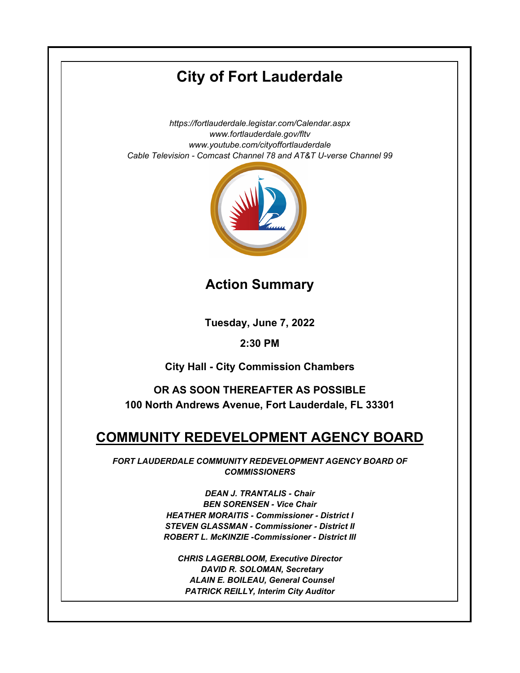## **City of Fort Lauderdale**

*https://fortlauderdale.legistar.com/Calendar.aspx www.fortlauderdale.gov/fltv www.youtube.com/cityoffortlauderdale Cable Television - Comcast Channel 78 and AT&T U-verse Channel 99*



**Action Summary**

**Tuesday, June 7, 2022**

## **2:30 PM**

**City Hall - City Commission Chambers**

**OR AS SOON THEREAFTER AS POSSIBLE 100 North Andrews Avenue, Fort Lauderdale, FL 33301**

## **COMMUNITY REDEVELOPMENT AGENCY BOARD**

*FORT LAUDERDALE COMMUNITY REDEVELOPMENT AGENCY BOARD OF COMMISSIONERS*

> *DEAN J. TRANTALIS - Chair BEN SORENSEN - Vice Chair HEATHER MORAITIS - Commissioner - District I STEVEN GLASSMAN - Commissioner - District II ROBERT L. McKINZIE -Commissioner - District III*

*CHRIS LAGERBLOOM, Executive Director DAVID R. SOLOMAN, Secretary ALAIN E. BOILEAU, General Counsel PATRICK REILLY, Interim City Auditor*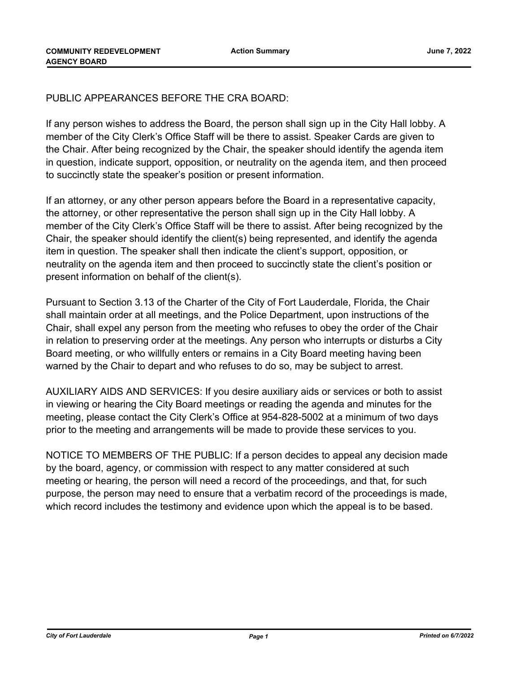## PUBLIC APPEARANCES BEFORE THE CRA BOARD:

If any person wishes to address the Board, the person shall sign up in the City Hall lobby. A member of the City Clerk's Office Staff will be there to assist. Speaker Cards are given to the Chair. After being recognized by the Chair, the speaker should identify the agenda item in question, indicate support, opposition, or neutrality on the agenda item, and then proceed to succinctly state the speaker's position or present information.

If an attorney, or any other person appears before the Board in a representative capacity, the attorney, or other representative the person shall sign up in the City Hall lobby. A member of the City Clerk's Office Staff will be there to assist. After being recognized by the Chair, the speaker should identify the client(s) being represented, and identify the agenda item in question. The speaker shall then indicate the client's support, opposition, or neutrality on the agenda item and then proceed to succinctly state the client's position or present information on behalf of the client(s).

Pursuant to Section 3.13 of the Charter of the City of Fort Lauderdale, Florida, the Chair shall maintain order at all meetings, and the Police Department, upon instructions of the Chair, shall expel any person from the meeting who refuses to obey the order of the Chair in relation to preserving order at the meetings. Any person who interrupts or disturbs a City Board meeting, or who willfully enters or remains in a City Board meeting having been warned by the Chair to depart and who refuses to do so, may be subject to arrest.

AUXILIARY AIDS AND SERVICES: If you desire auxiliary aids or services or both to assist in viewing or hearing the City Board meetings or reading the agenda and minutes for the meeting, please contact the City Clerk's Office at 954-828-5002 at a minimum of two days prior to the meeting and arrangements will be made to provide these services to you.

NOTICE TO MEMBERS OF THE PUBLIC: If a person decides to appeal any decision made by the board, agency, or commission with respect to any matter considered at such meeting or hearing, the person will need a record of the proceedings, and that, for such purpose, the person may need to ensure that a verbatim record of the proceedings is made, which record includes the testimony and evidence upon which the appeal is to be based.